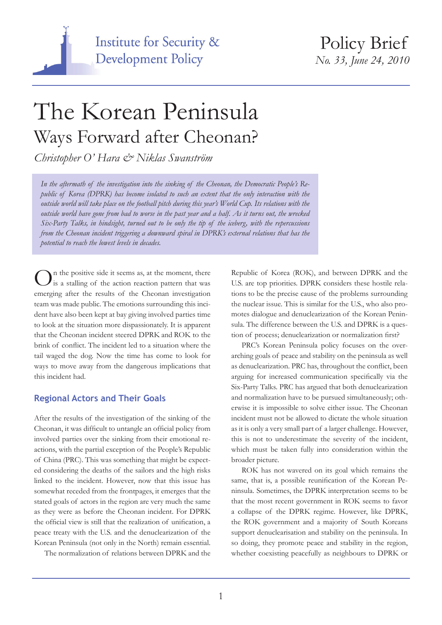

Policy Brief *No. 33, June 24, 2010*

# The Korean Peninsula Ways Forward after Cheonan?

*Christopher O' Hara & Niklas Swanström*

*In the aftermath of the investigation into the sinking of the Cheonan, the Democratic People's Republic of Korea (DPRK) has become isolated to such an extent that the only interaction with the outside world will take place on the football pitch during this year's World Cup. Its relations with the outside world have gone from bad to worse in the past year and a half. As it turns out, the wrecked Six-Party Talks, in hindsight, turned out to be only the tip of the iceberg, with the repercussions from the Cheonan incident triggering a downward spiral in DPRK's external relations that has the potential to reach the lowest levels in decades.*

In the positive side it seems as, at the moment, there  $\mathbf{J}_{\text{is a stalling of the action reaction pattern that was}$ emerging after the results of the Cheonan investigation team was made public. The emotions surrounding this incident have also been kept at bay giving involved parties time to look at the situation more dispassionately. It is apparent that the Cheonan incident steered DPRK and ROK to the brink of conflict. The incident led to a situation where the tail waged the dog. Now the time has come to look for ways to move away from the dangerous implications that this incident had.

#### **Regional Actors and Their Goals**

After the results of the investigation of the sinking of the Cheonan, it was difficult to untangle an official policy from involved parties over the sinking from their emotional reactions, with the partial exception of the People's Republic of China (PRC). This was something that might be expected considering the deaths of the sailors and the high risks linked to the incident. However, now that this issue has somewhat receded from the frontpages, it emerges that the stated goals of actors in the region are very much the same as they were as before the Cheonan incident. For DPRK the official view is still that the realization of unification, a peace treaty with the U.S. and the denuclearization of the Korean Peninsula (not only in the North) remain essential.

The normalization of relations between DPRK and the

Republic of Korea (ROK), and between DPRK and the U.S. are top priorities. DPRK considers these hostile relations to be the precise cause of the problems surrounding the nuclear issue. This is similar for the U.S., who also promotes dialogue and denuclearization of the Korean Peninsula. The difference between the U.S. and DPRK is a question of process; denuclearization or normalization first?

PRC's Korean Peninsula policy focuses on the overarching goals of peace and stability on the peninsula as well as denuclearization. PRC has, throughout the conflict, been arguing for increased communication specifically via the Six-Party Talks. PRC has argued that both denuclearization and normalization have to be pursued simultaneously; otherwise it is impossible to solve either issue. The Cheonan incident must not be allowed to dictate the whole situation as it is only a very small part of a larger challenge. However, this is not to underestimate the severity of the incident, which must be taken fully into consideration within the broader picture.

ROK has not wavered on its goal which remains the same, that is, a possible reunification of the Korean Peninsula. Sometimes, the DPRK interpretation seems to be that the most recent government in ROK seems to favor a collapse of the DPRK regime. However, like DPRK, the ROK government and a majority of South Koreans support denuclearisation and stability on the peninsula. In so doing, they promote peace and stability in the region, whether coexisting peacefully as neighbours to DPRK or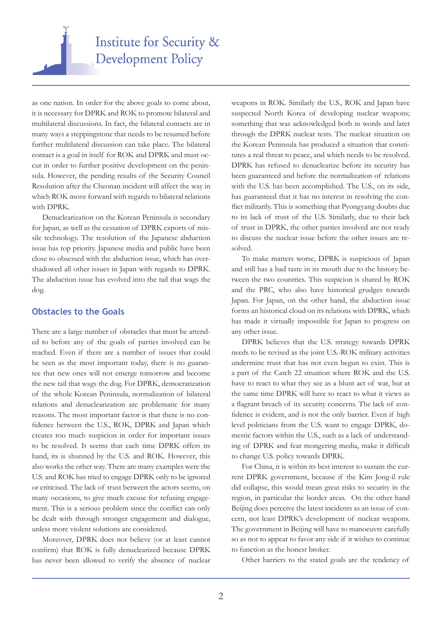

as one nation. In order for the above goals to come about, it is necessary for DPRK and ROK to promote bilateral and multilateral discussions. In fact, the bilateral contacts are in many ways a steppingstone that needs to be resumed before further multilateral discussion can take place. The bilateral contact is a goal in itself for ROK and DPRK and must occur in order to further positive development on the peninsula. However, the pending results of the Security Council Resolution after the Cheonan incident will affect the way in which ROK move forward with regards to bilateral relations with DPRK.

Denuclearization on the Korean Peninsula is secondary for Japan, as well as the cessation of DPRK exports of missile technology. The resolution of the Japanese abduction issue has top priority. Japanese media and public have been close to obsessed with the abduction issue, which has overshadowed all other issues in Japan with regards to DPRK. The abduction issue has evolved into the tail that wags the dog.

#### **Obstacles to the Goals**

There are a large number of obstacles that must be attended to before any of the goals of parties involved can be reached. Even if there are a number of issues that could be seen as the most important today, there is no guarantee that new ones will not emerge tomorrow and become the new tail that wags the dog. For DPRK, democratization of the whole Korean Peninsula, normalization of bilateral relations and denuclearization are problematic for many reasons. The most important factor is that there is no confidence between the U.S., ROK, DPRK and Japan which creates too much suspicion in order for important issues to be resolved. It seems that each time DPRK offers its hand, its is shunned by the U.S. and ROK. However, this also works the other way. There are many examples were the U.S. and ROK has tried to engage DPRK only to be ignored or criticised. The lack of trust between the actors seems, on many occasions, to give much excuse for refusing engagement. This is a serious problem since the conflict can only be dealt with through stronger engagement and dialogue, unless more violent solutions are considered.

Moreover, DPRK does not believe (or at least cannot confirm) that ROK is fully denuclearized because DPRK has never been allowed to verify the absence of nuclear

weapons in ROK. Similarly the U.S., ROK and Japan have suspected North Korea of developing nuclear weapons; something that was acknowledged both in words and later through the DPRK nuclear tests. The nuclear situation on the Korean Peninsula has produced a situation that constitutes a real threat to peace, and which needs to be resolved. DPRK has refused to denuclearize before its security has been guaranteed and before the normalization of relations with the U.S. has been accomplished. The U.S., on its side, has guaranteed that it has no interest in resolving the conflict militarily. This is something that Pyongyang doubts due to its lack of trust of the U.S. Similarly, due to their lack of trust in DPRK, the other parties involved are not ready to discuss the nuclear issue before the other issues are resolved.

To make matters worse, DPRK is suspicious of Japan and still has a bad taste in its mouth due to the history between the two countries. This suspicion is shared by ROK and the PRC, who also have historical grudges towards Japan. For Japan, on the other hand, the abduction issue forms an historical cloud on its relations with DPRK, which has made it virtually impossible for Japan to progress on any other issue.

DPRK believes that the U.S. strategy towards DPRK needs to be revised as the joint U.S.-ROK military activities undermine trust that has not even begun to exist. This is a part of the Catch 22 situation where ROK and the U.S. have to react to what they see as a blunt act of war, but at the same time DPRK will have to react to what it views as a flagrant breach of its security concerns. The lack of confidence is evident, and is not the only barrier. Even if high level politicians from the U.S. want to engage DPRK, domestic factors within the U.S., such as a lack of understanding of DPRK and fear mongering media, make it difficult to change U.S. policy towards DPRK.

For China, it is within its best interest to sustain the current DPRK government, because if the Kim Jong-il rule did collapse, this would mean great risks to security in the region, in particular the border areas. On the other hand Beijing does perceive the latest incidents as an issue of concern, not least DPRK's development of nuclear weapons. The government in Beijing will have to manoeuvre carefully so as not to appear to favor any side if it wishes to continue to function as the honest broker.

Other barriers to the stated goals are the tendency of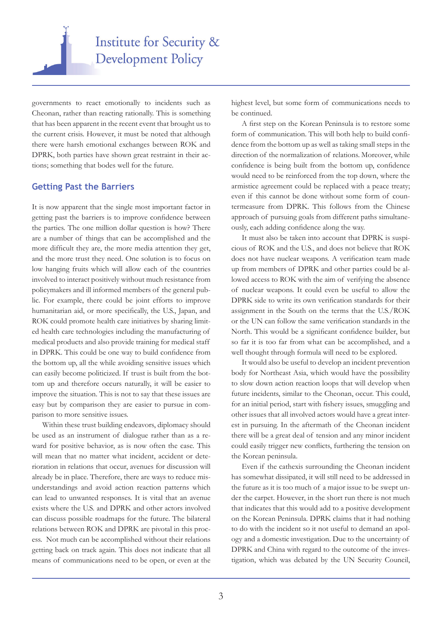

governments to react emotionally to incidents such as Cheonan, rather than reacting rationally. This is something that has been apparent in the recent event that brought us to the current crisis. However, it must be noted that although there were harsh emotional exchanges between ROK and DPRK, both parties have shown great restraint in their actions; something that bodes well for the future.

#### **Getting Past the Barriers**

It is now apparent that the single most important factor in getting past the barriers is to improve confidence between the parties. The one million dollar question is how? There are a number of things that can be accomplished and the more difficult they are, the more media attention they get, and the more trust they need. One solution is to focus on low hanging fruits which will allow each of the countries involved to interact positively without much resistance from policymakers and ill informed members of the general public. For example, there could be joint efforts to improve humanitarian aid, or more specifically, the U.S., Japan, and ROK could promote health care initiatives by sharing limited health care technologies including the manufacturing of medical products and also provide training for medical staff in DPRK. This could be one way to build confidence from the bottom up, all the while avoiding sensitive issues which can easily become politicized. If trust is built from the bottom up and therefore occurs naturally, it will be easier to improve the situation. This is not to say that these issues are easy but by comparison they are easier to pursue in comparison to more sensitive issues.

Within these trust building endeavors, diplomacy should be used as an instrument of dialogue rather than as a reward for positive behavior, as is now often the case. This will mean that no matter what incident, accident or deterioration in relations that occur, avenues for discussion will already be in place. Therefore, there are ways to reduce misunderstandings and avoid action reaction patterns which can lead to unwanted responses. It is vital that an avenue exists where the U.S. and DPRK and other actors involved can discuss possible roadmaps for the future. The bilateral relations between ROK and DPRK are pivotal in this process. Not much can be accomplished without their relations getting back on track again. This does not indicate that all means of communications need to be open, or even at the highest level, but some form of communications needs to be continued.

A first step on the Korean Peninsula is to restore some form of communication. This will both help to build confidence from the bottom up as well as taking small steps in the direction of the normalization of relations. Moreover, while confidence is being built from the bottom up, confidence would need to be reinforced from the top down, where the armistice agreement could be replaced with a peace treaty; even if this cannot be done without some form of countermeasure from DPRK. This follows from the Chinese approach of pursuing goals from different paths simultaneously, each adding confidence along the way.

It must also be taken into account that DPRK is suspicious of ROK and the U.S., and does not believe that ROK does not have nuclear weapons. A verification team made up from members of DPRK and other parties could be allowed access to ROK with the aim of verifying the absence of nuclear weapons. It could even be useful to allow the DPRK side to write its own verification standards for their assignment in the South on the terms that the U.S./ROK or the UN can follow the same verification standards in the North. This would be a significant confidence builder, but so far it is too far from what can be accomplished, and a well thought through formula will need to be explored.

It would also be useful to develop an incident prevention body for Northeast Asia, which would have the possibility to slow down action reaction loops that will develop when future incidents, similar to the Cheonan, occur. This could, for an initial period, start with fishery issues, smuggling and other issues that all involved actors would have a great interest in pursuing. In the aftermath of the Cheonan incident there will be a great deal of tension and any minor incident could easily trigger new conflicts, furthering the tension on the Korean peninsula.

Even if the cathexis surrounding the Cheonan incident has somewhat dissipated, it will still need to be addressed in the future as it is too much of a major issue to be swept under the carpet. However, in the short run there is not much that indicates that this would add to a positive development on the Korean Peninsula. DPRK claims that it had nothing to do with the incident so it not useful to demand an apology and a domestic investigation. Due to the uncertainty of DPRK and China with regard to the outcome of the investigation, which was debated by the UN Security Council,